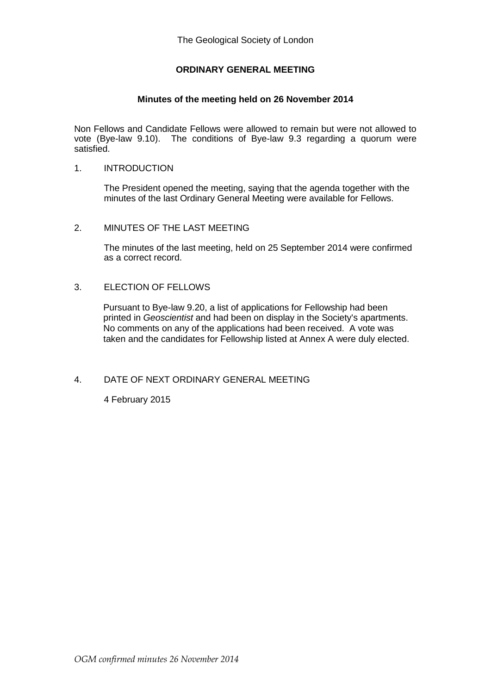# **ORDINARY GENERAL MEETING**

## **Minutes of the meeting held on 26 November 2014**

Non Fellows and Candidate Fellows were allowed to remain but were not allowed to vote (Bye-law 9.10). The conditions of Bye-law 9.3 regarding a quorum were satisfied.

### 1. INTRODUCTION

The President opened the meeting, saying that the agenda together with the minutes of the last Ordinary General Meeting were available for Fellows.

### 2. MINUTES OF THE LAST MEETING

The minutes of the last meeting, held on 25 September 2014 were confirmed as a correct record.

## 3. ELECTION OF FELLOWS

Pursuant to Bye-law 9.20, a list of applications for Fellowship had been printed in *Geoscientist* and had been on display in the Society's apartments. No comments on any of the applications had been received. A vote was taken and the candidates for Fellowship listed at Annex A were duly elected.

#### 4. DATE OF NEXT ORDINARY GENERAL MEETING

4 February 2015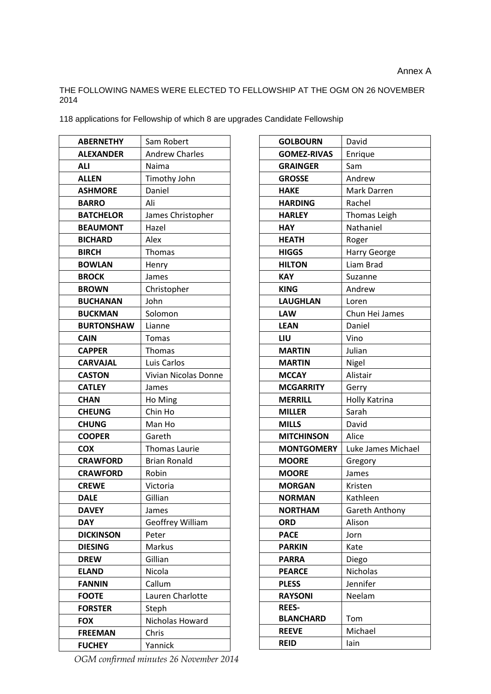## THE FOLLOWING NAMES WERE ELECTED TO FELLOWSHIP AT THE OGM ON 26 NOVEMBER 2014

118 applications for Fellowship of which 8 are upgrades Candidate Fellowship

| <b>ABERNETHY</b>  | Sam Robert                  |  |
|-------------------|-----------------------------|--|
| <b>ALEXANDER</b>  | <b>Andrew Charles</b>       |  |
| ALI               | Naima                       |  |
| <b>ALLEN</b>      | Timothy John                |  |
| <b>ASHMORE</b>    | Daniel                      |  |
| <b>BARRO</b>      | Ali                         |  |
| <b>BATCHELOR</b>  | James Christopher           |  |
| <b>BEAUMONT</b>   | Hazel                       |  |
| <b>BICHARD</b>    | Alex                        |  |
| <b>BIRCH</b>      | <b>Thomas</b>               |  |
| <b>BOWLAN</b>     | Henry                       |  |
| <b>BROCK</b>      | James                       |  |
| <b>BROWN</b>      | Christopher                 |  |
| <b>BUCHANAN</b>   | John                        |  |
| <b>BUCKMAN</b>    | Solomon                     |  |
| <b>BURTONSHAW</b> | Lianne                      |  |
| <b>CAIN</b>       | Tomas                       |  |
| <b>CAPPER</b>     | Thomas                      |  |
| <b>CARVAJAL</b>   | Luis Carlos                 |  |
| <b>CASTON</b>     | <b>Vivian Nicolas Donne</b> |  |
| <b>CATLEY</b>     | James                       |  |
| <b>CHAN</b>       | Ho Ming                     |  |
| <b>CHEUNG</b>     | Chin Ho                     |  |
| <b>CHUNG</b>      | Man Ho                      |  |
| <b>COOPER</b>     | Gareth                      |  |
| <b>COX</b>        | Thomas Laurie               |  |
| <b>CRAWFORD</b>   | <b>Brian Ronald</b>         |  |
| <b>CRAWFORD</b>   | Robin                       |  |
| <b>CREWE</b>      | Victoria                    |  |
| <b>DALE</b>       | Gillian                     |  |
| <b>DAVEY</b>      | James                       |  |
| <b>DAY</b>        | <b>Geoffrey William</b>     |  |
| <b>DICKINSON</b>  | Peter                       |  |
| <b>DIESING</b>    | Markus                      |  |
| <b>DREW</b>       | Gillian                     |  |
| <b>ELAND</b>      | Nicola                      |  |
| <b>FANNIN</b>     | Callum                      |  |
| <b>FOOTE</b>      | Lauren Charlotte            |  |
| <b>FORSTER</b>    | Steph                       |  |
| <b>FOX</b>        | Nicholas Howard             |  |
| <b>FREEMAN</b>    | Chris                       |  |
| <b>FUCHEY</b>     |                             |  |

| <b>GOLBOURN</b>    | David               |  |
|--------------------|---------------------|--|
| <b>GOMEZ-RIVAS</b> | Enrique             |  |
| <b>GRAINGER</b>    | Sam                 |  |
| <b>GROSSE</b>      | Andrew              |  |
| <b>HAKE</b>        | Mark Darren         |  |
| <b>HARDING</b>     | Rachel              |  |
| <b>HARLEY</b>      | <b>Thomas Leigh</b> |  |
| <b>HAY</b>         | Nathaniel           |  |
| <b>HEATH</b>       | Roger               |  |
| <b>HIGGS</b>       | Harry George        |  |
| <b>HILTON</b>      | Liam Brad           |  |
| <b>KAY</b>         | Suzanne             |  |
| <b>KING</b>        | Andrew              |  |
| <b>LAUGHLAN</b>    | Loren               |  |
| <b>LAW</b>         | Chun Hei James      |  |
| <b>LEAN</b>        | Daniel              |  |
| LIU                | Vino                |  |
| <b>MARTIN</b>      | Julian              |  |
| <b>MARTIN</b>      | Nigel               |  |
| <b>MCCAY</b>       | Alistair            |  |
| <b>MCGARRITY</b>   | Gerry               |  |
| <b>MERRILL</b>     | Holly Katrina       |  |
| <b>MILLER</b>      | Sarah               |  |
| <b>MILLS</b>       | David               |  |
| <b>MITCHINSON</b>  | Alice               |  |
| <b>MONTGOMERY</b>  | Luke James Michael  |  |
| <b>MOORE</b>       | Gregory             |  |
| <b>MOORE</b>       | James               |  |
| <b>MORGAN</b>      | Kristen             |  |
| <b>NORMAN</b>      | Kathleen            |  |
| <b>NORTHAM</b>     | Gareth Anthony      |  |
| <b>ORD</b>         | Alison              |  |
| <b>PACE</b>        | Jorn                |  |
| <b>PARKIN</b>      | Kate                |  |
| <b>PARRA</b>       | Diego               |  |
| <b>PEARCE</b>      | <b>Nicholas</b>     |  |
| <b>PLESS</b>       | Jennifer            |  |
| <b>RAYSONI</b>     | Neelam              |  |
| <b>REES-</b>       |                     |  |
| <b>BLANCHARD</b>   | Tom                 |  |
| <b>REEVE</b>       | Michael             |  |
| <b>REID</b>        | lain                |  |

*OGM confirmed minutes 26 November 2014*